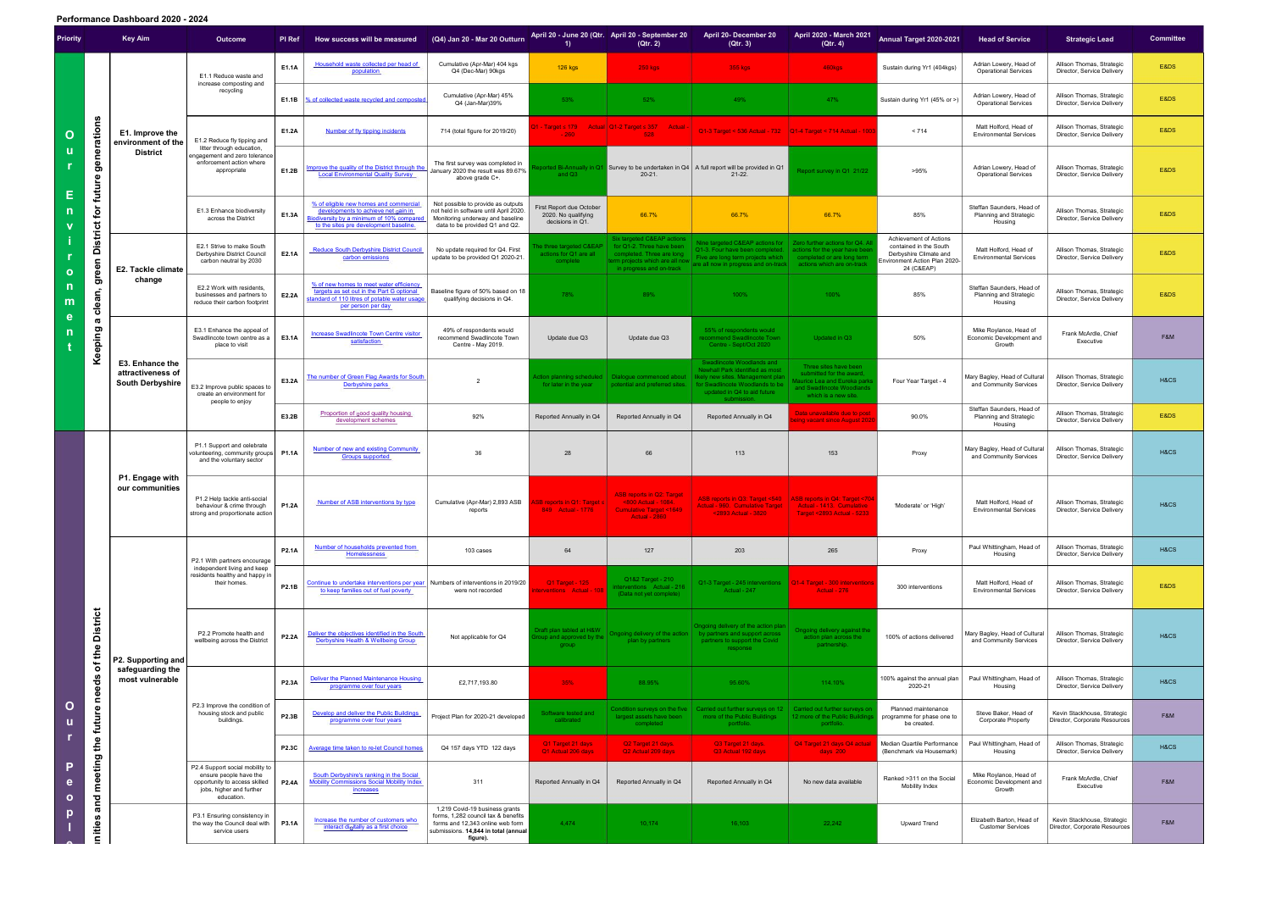## **Performance Dashboard 2020 - 2024**

| Priority                                    |                                                                                    | <b>Key Aim</b>                                                  | Outcome                                                                                                                              | <b>PI Ref</b> | How success will be measured                                                                                                                                         | (Q4) Jan 20 - Mar 20 Outturn                                                                                                                                  |                                                                    | April 20 - June 20 (Qtr. April 20 - September 20<br>(Qtr. 2)                                                                                                   | <b>April 20- December 20</b><br>(Qtr. 3)                                                                                                                                                                                                                             | April 2020 - March 2021<br>(Qtr. 4)                                                                                                  | Annual Target 2020-2021                                                                                                   | <b>Head of Service</b>                                         | <b>Strategic Lead</b>                                        | <b>Committee</b> |
|---------------------------------------------|------------------------------------------------------------------------------------|-----------------------------------------------------------------|--------------------------------------------------------------------------------------------------------------------------------------|---------------|----------------------------------------------------------------------------------------------------------------------------------------------------------------------|---------------------------------------------------------------------------------------------------------------------------------------------------------------|--------------------------------------------------------------------|----------------------------------------------------------------------------------------------------------------------------------------------------------------|----------------------------------------------------------------------------------------------------------------------------------------------------------------------------------------------------------------------------------------------------------------------|--------------------------------------------------------------------------------------------------------------------------------------|---------------------------------------------------------------------------------------------------------------------------|----------------------------------------------------------------|--------------------------------------------------------------|------------------|
| O<br>$\Omega$<br>n<br>m                     | generations<br>future<br>for<br><b>District</b><br>green<br>clean,<br>ā<br>Keeping | E1. Improve the<br>environment of the<br><b>District</b>        | E1.1 Reduce waste and<br>increase composting and<br>recycling                                                                        | E1.1A         | Household waste collected per head of<br>population                                                                                                                  | Cumulative (Apr-Mar) 404 kgs<br>Q4 (Dec-Mar) 90kgs                                                                                                            | <b>126 kgs</b>                                                     | <b>250 kgs</b>                                                                                                                                                 | 355 kgs                                                                                                                                                                                                                                                              | 460kgs                                                                                                                               | Sustain during Yr1 (404kgs)                                                                                               | Adrian Lowery, Head of<br><b>Operational Services</b>          | Allison Thomas, Strategic<br>Director, Service Delivery      | E&DS             |
|                                             |                                                                                    |                                                                 |                                                                                                                                      | E1.1B         | % of collected waste recycled and composte                                                                                                                           | Cumulative (Apr-Mar) 45%<br>Q4 (Jan-Mar)39%                                                                                                                   | 53%                                                                | 52%                                                                                                                                                            | 49%                                                                                                                                                                                                                                                                  | 47%                                                                                                                                  | Sustain during Yr1 (45% or >)                                                                                             | Adrian Lowery, Head of<br><b>Operational Services</b>          | Allison Thomas, Strategic<br>Director, Service Delivery      | E&DS             |
|                                             |                                                                                    |                                                                 | E1.2 Reduce fly tipping and<br>litter through education,<br>ngagement and zero tolerance<br>enforcement action where<br>appropriate  | E1.2A         | Number of fly tipping incidents                                                                                                                                      | 714 (total figure for 2019/20)                                                                                                                                | $-260$                                                             | 1 - Target $\leq 179$ Actual Q1-2 Target $\leq 357$ Actual -<br>528                                                                                            | Q1-3 Target < 536 Actual - 732   Q1-4 Target < 714 Actual - 1003                                                                                                                                                                                                     |                                                                                                                                      | < 714                                                                                                                     | Matt Holford, Head of<br><b>Environmental Services</b>         | Allison Thomas, Strategic<br>Director, Service Delivery      | E&DS             |
|                                             |                                                                                    |                                                                 |                                                                                                                                      | E1.2B         | mprove the quality of the District through the<br><b>Local Environmental Quality Survey</b>                                                                          | The first survey was completed in<br>January 2020 the result was 89.67%<br>above grade C+.                                                                    | and Q3                                                             | $20 - 21$ .                                                                                                                                                    | ed Bi-Annually in Q1 Survey to be undertaken in Q4 $\mid$ A full report will be provided in Q1<br>$21 - 22$ .                                                                                                                                                        | Report survey in Q1 21/22                                                                                                            | >95%                                                                                                                      | Adrian Lowery, Head of<br><b>Operational Services</b>          | Allison Thomas, Strategic<br>Director, Service Delivery      | E&DS             |
|                                             |                                                                                    |                                                                 | E1.3 Enhance biodiversity<br>across the District                                                                                     | E1.3A         | % of eligible new homes and commercial<br>developments to achieve net gain in<br>siodiversity by a minimum of 10% compared<br>to the sites pre development baseline. | Not possible to provide as outputs<br>not held in software until April 2020.<br>Monitoring underway and baseline<br>data to be provided Q1 and Q2.            | irst Report due October<br>2020. No qualifying<br>decisions in Q1. | 66.7%                                                                                                                                                          | 66.7%                                                                                                                                                                                                                                                                | 66.7%                                                                                                                                | 85%                                                                                                                       | Steffan Saunders, Head of<br>Planning and Strategic<br>Housing | Allison Thomas, Strategic<br>Director, Service Delivery      | E&DS             |
|                                             |                                                                                    | E2. Tackle climate<br>change                                    | E2.1 Strive to make South<br>Derbyshire District Council<br>carbon neutral by 2030                                                   | E2.1A         | <b>Reduce South Derbyshire District Council</b><br>carbon emissions                                                                                                  | No update required for Q4. First<br>update to be provided Q1 2020-21                                                                                          | e three targeted C&EAP<br>actions for Q1 are all<br>complete       | <b>Six targeted C&amp;EAP actions</b><br>for Q1-2. Three have been<br>completed. Three are long<br>term projects which are all now<br>in progress and on-track | Nine targeted C&EAP actions for   Zero further actions for Q4. A<br>Q1-3. Four have been completed. I actions for the year have beer<br>Five are long term projects which  <br>$\frac{1}{2}$ are all now in progress and on-track $\vert$ actions which are on-track | completed or are long term                                                                                                           | Achievement of Actions<br>contained in the South<br>Derbyshire Climate and<br>Invironment Action Plan 2020-<br>24 (C&EAP) | Matt Holford, Head of<br><b>Environmental Services</b>         | Allison Thomas, Strategic<br>Director, Service Delivery      | E&DS             |
|                                             |                                                                                    |                                                                 | E2.2 Work with residents,<br>businesses and partners to<br>reduce their carbon footprint                                             | E2.2A         | % of new homes to meet water efficiency<br>targets as set out in the Part G optional<br>standard of 110 litres of potable water usage<br>per person per day          | Baseline figure of 50% based on 18<br>qualifying decisions in Q4.                                                                                             | 78%                                                                | 89%                                                                                                                                                            | 100%                                                                                                                                                                                                                                                                 | 100%                                                                                                                                 | 85%                                                                                                                       | Steffan Saunders, Head of<br>Planning and Strategic<br>Housing | Allison Thomas, Strategic<br>Director, Service Delivery      | E&DS             |
|                                             |                                                                                    | E3. Enhance the<br>attractiveness of<br><b>South Derbyshire</b> | E3.1 Enhance the appeal of<br>Swadlincote town centre as a<br>place to visit                                                         | E3.1A         | <b>Increase Swadlincote Town Centre visitor</b><br>satisfaction                                                                                                      | 49% of respondents would<br>recommend Swadlincote Town<br>Centre - May 2019.                                                                                  | Update due Q3                                                      | Update due Q3                                                                                                                                                  | 55% of respondents would<br>commend Swadlincote Town<br>Centre - Sept/Oct 2020                                                                                                                                                                                       | Updated in Q3                                                                                                                        | 50%                                                                                                                       | Mike Roylance, Head of<br>Economic Development and<br>Growth   | Frank McArdle, Chief<br>Executive                            | F&M              |
|                                             |                                                                                    |                                                                 | E3.2 Improve public spaces to<br>create an environment for<br>people to enjoy                                                        | E3.2A         | The number of Green Flag Awards for South<br>Derbyshire parks                                                                                                        | $\overline{2}$                                                                                                                                                | for later in the year                                              | \ction planning scheduled   Dialogue commenced about<br>potential and preferred sites.                                                                         | Swadlincote Woodlands and<br><b>Newhall Park identified as most</b><br>likely new sites. Management plan<br>for Swadlincote Woodlands to be<br>updated in Q4 to aid future                                                                                           | Three sites have been<br>submitted for the award,<br>aurice Lea and Eureka park<br>and Swadlincote Woodlands<br>which is a new site. | Four Year Target - 4                                                                                                      | Mary Bagley, Head of Cultura<br>and Community Services         | Allison Thomas, Strategic<br>Director, Service Delivery      | H&CS             |
|                                             |                                                                                    |                                                                 |                                                                                                                                      | E3.2B         | Proportion of good quality housing<br>development schemes                                                                                                            | 92%                                                                                                                                                           | Reported Annually in Q4                                            | Reported Annually in Q4                                                                                                                                        | Reported Annually in Q4                                                                                                                                                                                                                                              | lata unavailable due to post<br>ing vacant since August 202                                                                          | 90.0%                                                                                                                     | Steffan Saunders, Head of<br>Planning and Strategic<br>Housing | Allison Thomas, Strategic<br>Director, Service Delivery      | E&DS             |
|                                             | <b>District</b><br>of the<br>needs<br>future<br>the<br>meeting<br>and              | P1. Engage with<br>our communities                              | P1.1 Support and celebrate<br>volunteering, community groups   P1.1A<br>and the voluntary sector                                     |               | <b>Number of new and existing Community</b><br><b>Groups supported</b>                                                                                               | 36                                                                                                                                                            | 28                                                                 | 66                                                                                                                                                             | 113                                                                                                                                                                                                                                                                  | 153                                                                                                                                  | Proxy                                                                                                                     | Mary Bagley, Head of Cultura<br>and Community Services         | Allison Thomas, Strategic<br>Director, Service Delivery      | H&CS             |
|                                             |                                                                                    |                                                                 | P1.2 Help tackle anti-social<br>behaviour & crime through<br>strong and proportionate action                                         | P1.2A         | Number of ASB interventions by type                                                                                                                                  | Cumulative (Apr-Mar) 2,893 ASB<br>reports                                                                                                                     | ASB reports in Q1: Target $\leq$<br><b>849</b> Actual - 1776       | <b>ASB reports in Q2: Target</b><br><800 Actual - 1084.<br>Cumulative Target <1649<br><b>Actual - 2860</b>                                                     | ASB reports in Q3: Target <540   ASB reports in Q4: Target <704<br><2893 Actual - 3820                                                                                                                                                                               | <b>Target &lt;2893 Actual - 5233</b>                                                                                                 | 'Moderate' or 'High'                                                                                                      | Matt Holford, Head of<br><b>Environmental Services</b>         | Allison Thomas, Strategic<br>Director, Service Delivery      | H&CS             |
|                                             |                                                                                    | P2. Supporting and<br>safeguarding the<br>most vulnerable       | P2.1 With partners encourage<br>independent living and keep<br>residents healthy and happy in<br>their homes.                        | <b>P2.1A</b>  | Number of households prevented from<br><b>Homelessness</b>                                                                                                           | 103 cases                                                                                                                                                     | 64                                                                 | 127                                                                                                                                                            | 203                                                                                                                                                                                                                                                                  | 265                                                                                                                                  | Proxy                                                                                                                     | Paul Whittingham, Head of<br>Housing                           | Allison Thomas, Strategic<br>Director, Service Delivery      | H&CS             |
|                                             |                                                                                    |                                                                 |                                                                                                                                      | P2.1B         | Continue to undertake interventions per year Numbers of interventions in 2019/20<br>to keep families out of fuel poverty                                             | were not recorded                                                                                                                                             | <b>Q1 Target - 125</b><br>erventions Actual - 108                  | Q1&2 Target - 210<br>terventions  Actual - 216<br>(Data not yet complete)                                                                                      | Q1-3 Target - 245 interventions   Q1-4 Target - 300 interventions<br>Actual - 247                                                                                                                                                                                    | Actual - 276                                                                                                                         | 300 interventions                                                                                                         | Matt Holford, Head of<br><b>Environmental Services</b>         | Allison Thomas, Strategic<br>Director, Service Delivery      | E&DS             |
|                                             |                                                                                    |                                                                 | P2.2 Promote health and<br>wellbeing across the District                                                                             | <b>P2.2A</b>  | Deliver the objectives identified in the South<br>Derbyshire Health & Wellbeing Group                                                                                | Not applicable for Q4                                                                                                                                         | Draft plan tabled at H&W<br>roup and approved by the<br>group      | )ngoing delivery of the action $\ $<br>plan by partners                                                                                                        | Ongoing delivery of the action plan<br>by partners and support across<br>partners to support the Covid<br>response                                                                                                                                                   | Ongoing delivery against the<br>action plan across the<br>partnership.                                                               | 100% of actions delivered                                                                                                 | Mary Bagley, Head of Cultural<br>and Community Services        | Allison Thomas, Strategic<br>Director, Service Delivery      | H&CS             |
|                                             |                                                                                    |                                                                 | P2.3 Improve the condition of<br>housing stock and public<br>buildings.                                                              | <b>P2.3A</b>  | <b>Deliver the Planned Maintenance Housing</b><br>programme over four years                                                                                          | £2,717,193.80                                                                                                                                                 | 35%                                                                | 88.95%                                                                                                                                                         | 95.60%                                                                                                                                                                                                                                                               | 114.10%                                                                                                                              | 100% against the annual plan<br>2020-21                                                                                   | Paul Whittingham, Head of<br>Housing                           | Allison Thomas, Strategic<br>Director, Service Delivery      | H&CS             |
| $\mathbf{o}$<br>P<br>е<br>$\mathbf{o}$<br>D |                                                                                    |                                                                 |                                                                                                                                      | P2.3B         | Develop and deliver the Public Buildings<br>programme over four years                                                                                                | Project Plan for 2020-21 developed                                                                                                                            | Software tested and<br>calibrated                                  | Condition surveys on the five $\parallel$<br>largest assets have been<br>completed                                                                             | Carried out further surveys on 12<br>more of the Public Buildings<br>portfolio.                                                                                                                                                                                      | Carried out further surveys or<br>12 more of the Public Building<br>portfolio.                                                       | Planned maintenance<br>programme for phase one to<br>be created.                                                          | Steve Baker, Head of<br><b>Corporate Property</b>              | Kevin Stackhouse, Strategic<br>Director, Corporate Resources | F&M              |
|                                             |                                                                                    |                                                                 |                                                                                                                                      | <b>P2.3C</b>  | Average time taken to re-let Council homes                                                                                                                           | Q4 157 days YTD 122 days                                                                                                                                      | Q1 Target 21 days<br>Q1 Actual 206 days                            | Q2 Target 21 days.<br>Q2 Actual 209 days                                                                                                                       | Q3 Target 21 days.<br>Q3 Actual 192 days                                                                                                                                                                                                                             | Q4 Target 21 days Q4 actual<br>days $200$                                                                                            | Median Quartile Performance<br>(Benchmark via Housemark)                                                                  | Paul Whittingham, Head of<br>Housing                           | Allison Thomas, Strategic<br>Director, Service Delivery      | H&CS             |
|                                             |                                                                                    |                                                                 | P2.4 Support social mobility to<br>ensure people have the<br>opportunity to access skilled<br>jobs, higher and further<br>education. | <b>P2.4A</b>  | South Derbyshire's ranking in the Social<br><b>Mobility Commissions Social Mobility Index</b><br><b>increases</b>                                                    | 311                                                                                                                                                           | Reported Annually in Q4                                            | Reported Annually in Q4                                                                                                                                        | Reported Annually in Q4                                                                                                                                                                                                                                              | No new data available                                                                                                                | Ranked >311 on the Social<br>Mobility Index                                                                               | Mike Roylance, Head of<br>Economic Development and<br>Growth   | Frank McArdle, Chief<br>Executive                            | F&M              |
|                                             | mities                                                                             |                                                                 | P3.1 Ensuring consistency in<br>the way the Council deal with  <br>service users                                                     | P3.1A         | Increase the number of customers who<br>interact digitally as a first choice                                                                                         | 1,219 Covid-19 business grants<br>forms, 1,282 council tax & benefits<br>forms and 12,343 online web form<br>submissions. 14,844 in total (annual<br>figure). | 4,474                                                              | 10,174                                                                                                                                                         | 16,103                                                                                                                                                                                                                                                               | 22,242                                                                                                                               | Upward Trend                                                                                                              | Elizabeth Barton, Head of<br><b>Customer Services</b>          | Kevin Stackhouse, Strategic<br>Director, Corporate Resources | F&M              |
|                                             |                                                                                    |                                                                 |                                                                                                                                      |               |                                                                                                                                                                      |                                                                                                                                                               |                                                                    |                                                                                                                                                                |                                                                                                                                                                                                                                                                      |                                                                                                                                      |                                                                                                                           |                                                                |                                                              |                  |